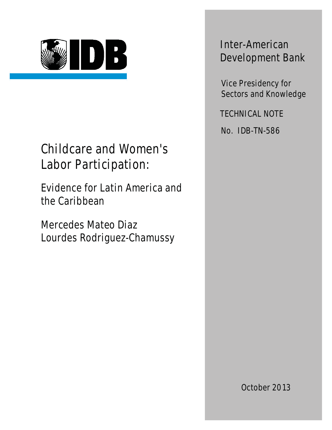

## Childcare and Women's Labor Participation:

Evidence for Latin America and the Caribbean

Mercedes Mateo Diaz Lourdes Rodriguez-Chamussy

Inter-American Development Bank

Vice Presidency for Sectors and Knowledge

TECHNICAL NOTE

No. IDB-TN-586

October 2013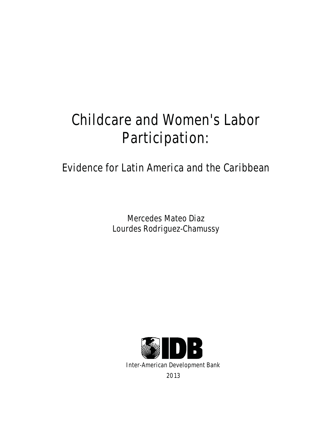# Childcare and Women's Labor Participation:

### Evidence for Latin America and the Caribbean

Mercedes Mateo Diaz Lourdes Rodriguez-Chamussy

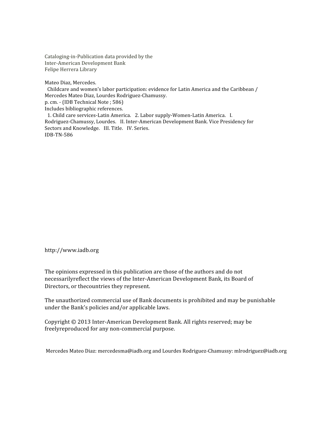Cataloging‐in‐Publication
data
provided
by
the Inter‐American
Development
Bank Felipe
Herrera
Library

Mateo
Diaz,
Mercedes.

Childcare and women's labor participation: evidence for Latin America and the Caribbean / Mercedes
Mateo
Diaz,
Lourdes
Rodriguez‐Chamussy. p.
cm.
‐
(IDB
Technical
Note
;
586) Includes
bibliographic
references. 1.
Child
care
services‐Latin
America. 2.
Labor
supply‐Women‐Latin
America. I.

Rodriguez-Chamussy, Lourdes. II. Inter-American Development Bank. Vice Presidency for Sectors and Knowledge. III. Title. IV. Series. IDB‐TN‐586

http://www.iadb.org

The
opinions
expressed
in
this
publication
are
those
of
the
authors
and
do
not necessarilyreflect the views of the Inter-American Development Bank, its Board of Directors,
or
thecountries
they
represent.

The
unauthorized
commercial
use
of
Bank
documents
is
prohibited
and
may
be
punishable under
the
Bank's
policies
and/or
applicable
laws.

Copyright
©
2013
Inter‐American
Development
Bank.
All
rights
reserved;
may
be freelyreproduced
for
any
non‐commercial
purpose.

Mercedes
Mateo
Diaz:
mercedesma@iadb.org
and
Lourdes
Rodriguez‐Chamussy:
mlrodriguez@iadb.org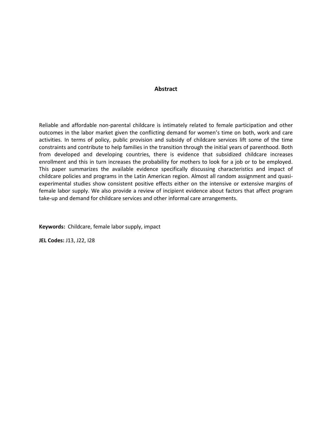#### **Abstract**

Reliable and affordable non-parental childcare is intimately related to female participation and other outcomes in the labor market given the conflicting demand for women's time on both, work and care activities. In terms of policy, public provision and subsidy of childcare services lift some of the time constraints and contribute to help families in the transition through the initial years of parenthood. Both from developed and developing countries, there is evidence that subsidized childcare increases enrollment and this in turn increases the probability for mothers to look for a job or to be employed. This paper summarizes the available evidence specifically discussing characteristics and impact of childcare policies and programs in the Latin American region. Almost all random assignment and quasiexperimental studies show consistent positive effects either on the intensive or extensive margins of female labor supply. We also provide a review of incipient evidence about factors that affect program take-up and demand for childcare services and other informal care arrangements.

**Keywords:** Childcare, female labor supply, impact

**JEL Codes:** J13, J22, I28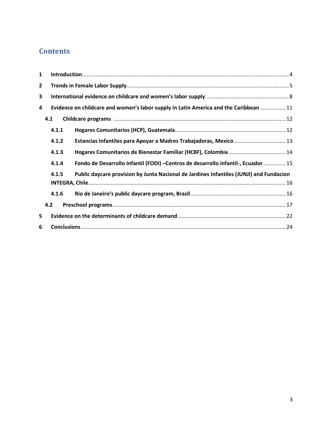### **Contents**

| 1            |       |                                                                                         |  |  |  |  |  |  |  |
|--------------|-------|-----------------------------------------------------------------------------------------|--|--|--|--|--|--|--|
| $\mathbf{2}$ |       |                                                                                         |  |  |  |  |  |  |  |
| 3            |       |                                                                                         |  |  |  |  |  |  |  |
| 4            |       | Evidence on childcare and women's labor supply in Latin America and the Caribbean  11   |  |  |  |  |  |  |  |
|              | 4.1   |                                                                                         |  |  |  |  |  |  |  |
|              | 4.1.1 |                                                                                         |  |  |  |  |  |  |  |
|              | 4.1.2 | Estancias Infantiles para Apoyar a Madres Trabajadoras, Mexico 13                       |  |  |  |  |  |  |  |
|              | 4.1.3 |                                                                                         |  |  |  |  |  |  |  |
|              | 4.1.4 | Fondo de Desarrollo Infantil (FODI) - Centros de desarrollo infantil-, Ecuador  15      |  |  |  |  |  |  |  |
|              | 4.1.5 | Public daycare provision by Junta Nacional de Jardines Infantiles (JUNJI) and Fundacion |  |  |  |  |  |  |  |
|              |       |                                                                                         |  |  |  |  |  |  |  |
|              | 4.1.6 |                                                                                         |  |  |  |  |  |  |  |
|              | 4.2   |                                                                                         |  |  |  |  |  |  |  |
| 5            |       |                                                                                         |  |  |  |  |  |  |  |
| 6            |       |                                                                                         |  |  |  |  |  |  |  |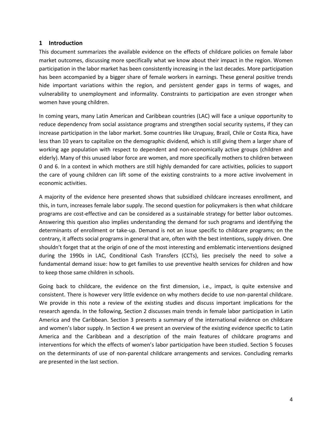#### <span id="page-6-0"></span>**1 Introduction**

This document summarizes the available evidence on the effects of childcare policies on female labor market outcomes, discussing more specifically what we know about their impact in the region. Women participation in the labor market has been consistently increasing in the last decades. More participation has been accompanied by a bigger share of female workers in earnings. These general positive trends hide important variations within the region, and persistent gender gaps in terms of wages, and vulnerability to unemployment and informality. Constraints to participation are even stronger when women have young children.

In coming years, many Latin American and Caribbean countries (LAC) will face a unique opportunity to reduce dependency from social assistance programs and strengthen social security systems, if they can increase participation in the labor market. Some countries like Uruguay, Brazil, Chile or Costa Rica, have less than 10 years to capitalize on the demographic dividend, which is still giving them a larger share of working age population with respect to dependent and non-economically active groups (children and elderly). Many of this unused labor force are women, and more specifically mothers to children between 0 and 6. In a context in which mothers are still highly demanded for care activities, policies to support the care of young children can lift some of the existing constraints to a more active involvement in economic activities.

A majority of the evidence here presented shows that subsidized childcare increases enrollment, and this, in turn, increases female labor supply. The second question for policymakers is then what childcare programs are cost-effective and can be considered as a sustainable strategy for better labor outcomes. Answering this question also implies understanding the demand for such programs and identifying the determinants of enrollment or take-up. Demand is not an issue specific to childcare programs; on the contrary, it affects social programs in general that are, often with the best intentions, supply driven. One shouldn't forget that at the origin of one of the most interesting and emblematic interventions designed during the 1990s in LAC, Conditional Cash Transfers (CCTs), lies precisely the need to solve a fundamental demand issue: how to get families to use preventive health services for children and how to keep those same children in schools.

Going back to childcare, the evidence on the first dimension, i.e., impact, is quite extensive and consistent. There is however very little evidence on why mothers decide to use non-parental childcare. We provide in this note a review of the existing studies and discuss important implications for the research agenda. In the following, Section 2 discusses main trends in female labor participation in Latin America and the Caribbean. Section 3 presents a summary of the international evidence on childcare and women's labor supply. In Section 4 we present an overview of the existing evidence specific to Latin America and the Caribbean and a description of the main features of childcare programs and interventions for which the effects of women's labor participation have been studied. Section 5 focuses on the determinants of use of non-parental childcare arrangements and services. Concluding remarks are presented in the last section.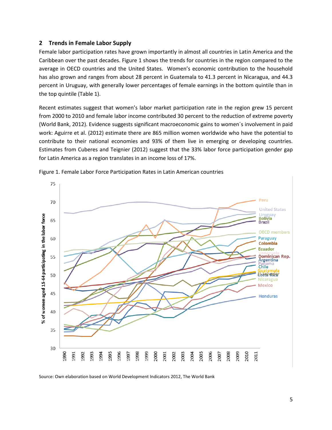#### <span id="page-7-0"></span>**2 Trends in Female Labor Supply**

Female labor participation rates have grown importantly in almost all countries in Latin America and the Caribbean over the past decades. Figure 1 shows the trends for countries in the region compared to the average in OECD countries and the United States. Women's economic contribution to the household has also grown and ranges from about 28 percent in Guatemala to 41.3 percent in Nicaragua, and 44.3 percent in Uruguay, with generally lower percentages of female earnings in the bottom quintile than in the top quintile (Table 1).

Recent estimates suggest that women's labor market participation rate in the region grew 15 percent from 2000 to 2010 and female labor income contributed 30 percent to the reduction of extreme poverty (World Bank, 2012). Evidence suggests significant macroeconomic gains to women´s involvement in paid work: Aguirre et al. (2012) estimate there are 865 million women worldwide who have the potential to contribute to their national economies and 93% of them live in emerging or developing countries. Estimates from Cuberes and Teignier (2012) suggest that the 33% labor force participation gender gap for Latin America as a region translates in an income loss of 17%.



Figure 1. Female Labor Force Participation Rates in Latin American countries

Source: Own elaboration based on World Development Indicators 2012, The World Bank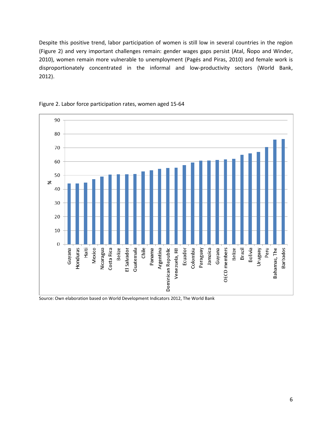Despite this positive trend, labor participation of women is still low in several countries in the region (Figure 2) and very important challenges remain: gender wages gaps persist (Atal, Ñopo and Winder, 2010), women remain more vulnerable to unemployment (Pagés and Piras, 2010) and female work is disproportionately concentrated in the informal and low-productivity sectors (World Bank, 2012).





Source: Own elaboration based on World Development Indicators 2012, The World Bank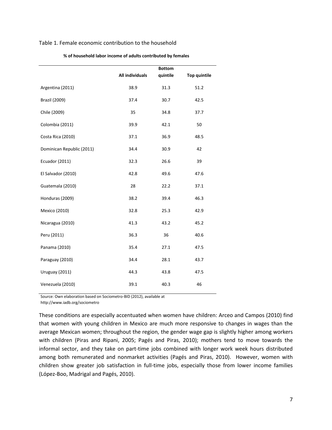#### Table 1. Female economic contribution to the household

|                           | All individuals | <b>Bottom</b><br>quintile | <b>Top quintile</b> |
|---------------------------|-----------------|---------------------------|---------------------|
|                           |                 |                           |                     |
| Argentina (2011)          | 38.9            | 31.3                      | 51.2                |
| <b>Brazil (2009)</b>      | 37.4            | 30.7                      | 42.5                |
| Chile (2009)              | 35              | 34.8                      | 37.7                |
| Colombia (2011)           | 39.9            | 42.1                      | 50                  |
| Costa Rica (2010)         | 37.1            | 36.9                      | 48.5                |
| Dominican Republic (2011) | 34.4            | 30.9                      | 42                  |
| Ecuador (2011)            | 32.3            | 26.6                      | 39                  |
| El Salvador (2010)        | 42.8            | 49.6                      | 47.6                |
| Guatemala (2010)          | 28              | 22.2                      | 37.1                |
| Honduras (2009)           | 38.2            | 39.4                      | 46.3                |
| Mexico (2010)             | 32.8            | 25.3                      | 42.9                |
| Nicaragua (2010)          | 41.3            | 43.2                      | 45.2                |
| Peru (2011)               | 36.3            | 36                        | 40.6                |
| Panama (2010)             | 35.4            | 27.1                      | 47.5                |
| Paraguay (2010)           | 34.4            | 28.1                      | 43.7                |
| Uruguay (2011)            | 44.3            | 43.8                      | 47.5                |
| Venezuela (2010)          | 39.1            | 40.3                      | 46                  |

**% of household labor income of adults contributed by females** 

Source: Own elaboration based on Sociometro-BID (2012), available at

http://www.iadb.org/sociometro

These conditions are especially accentuated when women have children: Arceo and Campos (2010) find that women with young children in Mexico are much more responsive to changes in wages than the average Mexican women; throughout the region, the gender wage gap is slightly higher among workers with children (Piras and Ripani, 2005; Pagés and Piras, 2010); mothers tend to move towards the informal sector, and they take on part-time jobs combined with longer work week hours distributed among both remunerated and nonmarket activities (Pagés and Piras, 2010). However, women with children show greater job satisfaction in full-time jobs, especially those from lower income families (López-Boo, Madrigal and Pagés, 2010).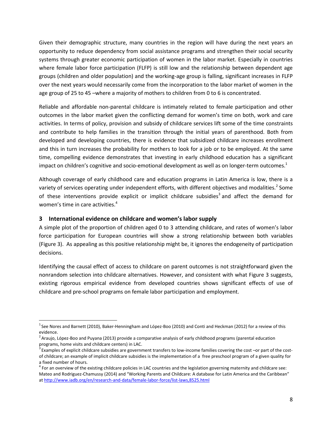Given their demographic structure, many countries in the region will have during the next years an opportunity to reduce dependency from social assistance programs and strengthen their social security systems through greater economic participation of women in the labor market. Especially in countries where female labor force participation (FLFP) is still low and the relationship between dependent age groups (children and older population) and the working-age group is falling, significant increases in FLFP over the next years would necessarily come from the incorporation to the labor market of women in the age group of 25 to 45 –where a majority of mothers to children from 0 to 6 is concentrated.

Reliable and affordable non-parental childcare is intimately related to female participation and other outcomes in the labor market given the conflicting demand for women's time on both, work and care activities. In terms of policy, provision and subsidy of childcare services lift some of the time constraints and contribute to help families in the transition through the initial years of parenthood. Both from developed and developing countries, there is evidence that subsidized childcare increases enrollment and this in turn increases the probability for mothers to look for a job or to be employed. At the same time, compelling evidence demonstrates that investing in early childhood education has a significant impact on children's cognitive and socio-emotional development as well as on longer-term outcomes.<sup>1</sup>

Although coverage of early childhood care and education programs in Latin America is low, there is a variety of services operating under independent efforts, with different objectives and modalities.<sup>2</sup> Some of these interventions provide explicit or implicit childcare subsidies<sup>3</sup> and affect the demand for women's time in care activities. $4$ 

#### <span id="page-10-0"></span>**3 International evidence on childcare and women's labor supply**

A simple plot of the proportion of children aged 0 to 3 attending childcare, and rates of women's labor force participation for European countries will show a strong relationship between both variables (Figure 3). As appealing as this positive relationship might be, it ignores the endogeneity of participation decisions.

Identifying the causal effect of access to childcare on parent outcomes is not straightforward given the nonrandom selection into childcare alternatives. However, and consistent with what Figure 3 suggests, existing rigorous empirical evidence from developed countries shows significant effects of use of childcare and pre-school programs on female labor participation and employment.

 $\overline{\phantom{a}}$  $^1$ See Nores and Barnett (2010), Baker-Henningham and López-Boo (2010) and Conti and Heckman (2012) for a review of this evidence.

<sup>&</sup>lt;sup>2</sup> Araujo, López-Boo and Puyana (2013) provide a comparative analysis of early childhood programs (parental education programs, home visits and childcare centers) in LAC.

 $^3$  Examples of explicit childcare subsidies are government transfers to low-income families covering the cost –or part of the costof childcare; an example of implicit childcare subsidies is the implementation of a free preschool program of a given quality for a fixed number of hours.

 $^4$  For an overview of the existing childcare policies in LAC countries and the legislation governing maternity and childcare see: Mateo and Rodriguez-Chamussy (2014) and "Working Parents and Childcare: A database for Latin America and the Caribbean" at http://www.iadb.org/en/research-and-data/female-labor-force/list-laws,8525.html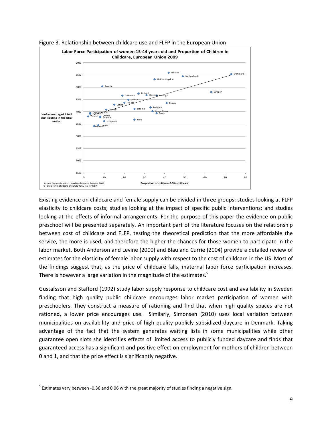

Figure 3. Relationship between childcare use and FLFP in the European Union

Existing evidence on childcare and female supply can be divided in three groups: studies looking at FLFP elasticity to childcare costs; studies looking at the impact of specific public interventions; and studies looking at the effects of informal arrangements. For the purpose of this paper the evidence on public preschool will be presented separately. An important part of the literature focuses on the relationship between cost of childcare and FLFP, testing the theoretical prediction that the more affordable the service, the more is used, and therefore the higher the chances for those women to participate in the labor market. Both Anderson and Levine (2000) and Blau and Currie (2004) provide a detailed review of estimates for the elasticity of female labor supply with respect to the cost of childcare in the US. Most of the findings suggest that, as the price of childcare falls, maternal labor force participation increases. There is however a large variation in the magnitude of the estimates.<sup>5</sup>

Gustafsson and Stafford (1992) study labor supply response to childcare cost and availability in Sweden finding that high quality public childcare encourages labor market participation of women with preschoolers. They construct a measure of rationing and find that when high quality spaces are not rationed, a lower price encourages use. Similarly, Simonsen (2010) uses local variation between municipalities on availability and price of high quality publicly subsidized daycare in Denmark. Taking advantage of the fact that the system generates waiting lists in some municipalities while other guarantee open slots she identifies effects of limited access to publicly funded daycare and finds that guaranteed access has a significant and positive effect on employment for mothers of children between 0 and 1, and that the price effect is significantly negative.

 $\overline{a}$ 

 $<sup>5</sup>$  Estimates vary between -0.36 and 0.06 with the great majority of studies finding a negative sign.</sup>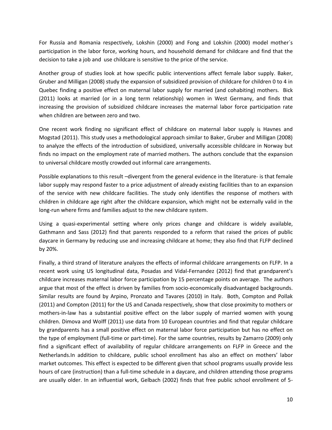For Russia and Romania respectively, Lokshin (2000) and Fong and Lokshin (2000) model mother´s participation in the labor force, working hours, and household demand for childcare and find that the decision to take a job and use childcare is sensitive to the price of the service.

Another group of studies look at how specific public interventions affect female labor supply. Baker, Gruber and Milligan (2008) study the expansion of subsidized provision of childcare for children 0 to 4 in Quebec finding a positive effect on maternal labor supply for married (and cohabiting) mothers. Bick (2011) looks at married (or in a long term relationship) women in West Germany, and finds that increasing the provision of subsidized childcare increases the maternal labor force participation rate when children are between zero and two.

One recent work finding no significant effect of childcare on maternal labor supply is Havnes and Mogstad (2011). This study uses a methodological approach similar to Baker, Gruber and Milligan (2008) to analyze the effects of the introduction of subsidized, universally accessible childcare in Norway but finds no impact on the employment rate of married mothers. The authors conclude that the expansion to universal childcare mostly crowded out informal care arrangements.

Possible explanations to this result –divergent from the general evidence in the literature- is that female labor supply may respond faster to a price adjustment of already existing facilities than to an expansion of the service with new childcare facilities. The study only identifies the response of mothers with children in childcare age right after the childcare expansion, which might not be externally valid in the long-run where firms and families adjust to the new childcare system.

Using a quasi-experimental setting where only prices change and childcare is widely available, Gathmann and Sass (2012) find that parents responded to a reform that raised the prices of public daycare in Germany by reducing use and increasing childcare at home; they also find that FLFP declined by 20%.

Finally, a third strand of literature analyzes the effects of informal childcare arrangements on FLFP. In a recent work using US longitudinal data, Posadas and Vidal-Fernandez (2012) find that grandparent's childcare increases maternal labor force participation by 15 percentage points on average. The authors argue that most of the effect is driven by families from socio-economically disadvantaged backgrounds. Similar results are found by Arpino, Pronzato and Tavares (2010) in Italy. Both, Compton and Pollak (2011) and Compton (2011) for the US and Canada respectively, show that close proximity to mothers or mothers-in-law has a substantial positive effect on the labor supply of married women with young children. Dimova and Wolff (2011) use data from 10 European countries and find that regular childcare by grandparents has a small positive effect on maternal labor force participation but has no effect on the type of employment (full-time or part-time). For the same countries, results by Zamarro (2009) only find a significant effect of availability of regular childcare arrangements on FLFP in Greece and the Netherlands.In addition to childcare, public school enrollment has also an effect on mothers' labor market outcomes. This effect is expected to be different given that school programs usually provide less hours of care (instruction) than a full-time schedule in a daycare, and children attending those programs are usually older. In an influential work, Gelbach (2002) finds that free public school enrollment of 5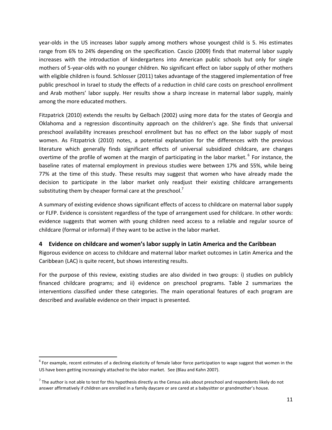year-olds in the US increases labor supply among mothers whose youngest child is 5. His estimates range from 6% to 24% depending on the specification. Cascio (2009) finds that maternal labor supply increases with the introduction of kindergartens into American public schools but only for single mothers of 5-year-olds with no younger children. No significant effect on labor supply of other mothers with eligible children is found. Schlosser (2011) takes advantage of the staggered implementation of free public preschool in Israel to study the effects of a reduction in child care costs on preschool enrollment and Arab mothers' labor supply. Her results show a sharp increase in maternal labor supply, mainly among the more educated mothers.

Fitzpatrick (2010) extends the results by Gelbach (2002) using more data for the states of Georgia and Oklahoma and a regression discontinuity approach on the children's age. She finds that universal preschool availability increases preschool enrollment but has no effect on the labor supply of most women. As Fitzpatrick (2010) notes, a potential explanation for the differences with the previous literature which generally finds significant effects of universal subsidized childcare, are changes overtime of the profile of women at the margin of participating in the labor market. <sup>6</sup> For instance, the baseline rates of maternal employment in previous studies were between 17% and 55%, while being 77% at the time of this study. These results may suggest that women who have already made the decision to participate in the labor market only readjust their existing childcare arrangements substituting them by cheaper formal care at the preschool.<sup>7</sup>

A summary of existing evidence shows significant effects of access to childcare on maternal labor supply or FLFP. Evidence is consistent regardless of the type of arrangement used for childcare. In other words: evidence suggests that women with young children need access to a reliable and regular source of childcare (formal or informal) if they want to be active in the labor market.

#### <span id="page-13-0"></span>**4 Evidence on childcare and women's labor supply in Latin America and the Caribbean**

Rigorous evidence on access to childcare and maternal labor market outcomes in Latin America and the Caribbean (LAC) is quite recent, but shows interesting results.

For the purpose of this review, existing studies are also divided in two groups: i) studies on publicly financed childcare programs; and ii) evidence on preschool programs. Table 2 summarizes the interventions classified under these categories. The main operational features of each program are described and available evidence on their impact is presented.

 $\overline{\phantom{a}}$ 

 $^6$  For example, recent estimates of a declining elasticity of female labor force participation to wage suggest that women in the US have been getting increasingly attached to the labor market. See (Blau and Kahn 2007).

 $^7$  The author is not able to test for this hypothesis directly as the Census asks about preschool and respondents likely do not answer affirmatively if children are enrolled in a family daycare or are cared at a babysitter or grandmother's house.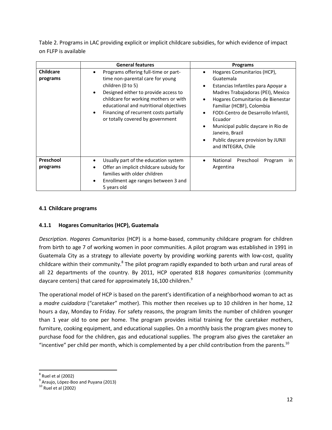Table 2. Programs in LAC providing explicit or implicit childcare subsidies, for which evidence of impact on FLFP is available

|                              | <b>General features</b>                                                                                                                                                                                                                                                                                                               | <b>Programs</b>                                                                                                                                                                                                                                                                                                                                                                    |
|------------------------------|---------------------------------------------------------------------------------------------------------------------------------------------------------------------------------------------------------------------------------------------------------------------------------------------------------------------------------------|------------------------------------------------------------------------------------------------------------------------------------------------------------------------------------------------------------------------------------------------------------------------------------------------------------------------------------------------------------------------------------|
| <b>Childcare</b><br>programs | Programs offering full-time or part-<br>٠<br>time non-parental care for young<br>children (0 to 5)<br>Designed either to provide access to<br>$\bullet$<br>childcare for working mothers or with<br>educational and nutritional objectives<br>Financing of recurrent costs partially<br>$\bullet$<br>or totally covered by government | Hogares Comunitarios (HCP),<br>٠<br>Guatemala<br>Estancias Infantiles para Apoyar a<br>٠<br>Madres Trabajadoras (PEI), Mexico<br>Hogares Comunitarios de Bienestar<br>Familiar (HCBF), Colombia<br>FODI-Centro de Desarrollo Infantil,<br>$\bullet$<br>Ecuador<br>Municipal public daycare in Rio de<br>Janeiro, Brazil<br>Public daycare provision by JUNJI<br>and INTEGRA, Chile |
| Preschool<br>programs        | Usually part of the education system<br>$\bullet$<br>Offer an implicit childcare subsidy for<br>families with older children<br>Enrollment age ranges between 3 and<br>$\bullet$<br>5 years old                                                                                                                                       | National<br>Preschool<br>Program<br><i>in</i><br>$\bullet$<br>Argentina                                                                                                                                                                                                                                                                                                            |

#### <span id="page-14-0"></span>**4.1 Childcare programs**

#### <span id="page-14-1"></span>**4.1.1 Hogares Comunitarios (HCP), Guatemala**

*Description*. *Hogares Comunitarios* (HCP) is a home-based, community childcare program for children from birth to age 7 of working women in poor communities. A pilot program was established in 1991 in Guatemala City as a strategy to alleviate poverty by providing working parents with low-cost, quality childcare within their community.<sup>8</sup> The pilot program rapidly expanded to both urban and rural areas of all 22 departments of the country. By 2011, HCP operated 818 *hogares comunitarios* (community daycare centers) that cared for approximately 16,100 children.<sup>9</sup>

The operational model of HCP is based on the parent's identification of a neighborhood woman to act as a *madre cuidadora* ("caretaker" mother). This mother then receives up to 10 children in her home, 12 hours a day, Monday to Friday. For safety reasons, the program limits the number of children younger than 1 year old to one per home. The program provides initial training for the caretaker mothers, furniture, cooking equipment, and educational supplies. On a monthly basis the program gives money to purchase food for the children, gas and educational supplies. The program also gives the caretaker an "incentive" per child per month, which is complemented by a per child contribution from the parents.<sup>10</sup>

l  $<sup>8</sup>$  Ruel et al (2002)</sup>

<sup>&</sup>lt;sup>9</sup> Araujo, López-Boo and Puyana (2013)

 $10$  Ruel et al (2002)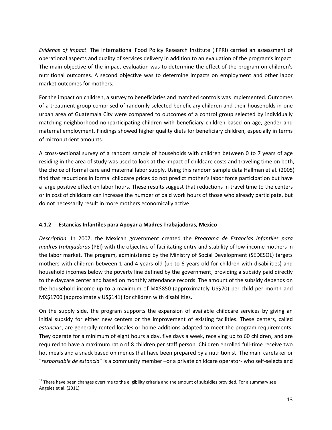*Evidence of impact*. The International Food Policy Research Institute (IFPRI) carried an assessment of operational aspects and quality of services delivery in addition to an evaluation of the program's impact. The main objective of the impact evaluation was to determine the effect of the program on children's nutritional outcomes. A second objective was to determine impacts on employment and other labor market outcomes for mothers.

For the impact on children, a survey to beneficiaries and matched controls was implemented. Outcomes of a treatment group comprised of randomly selected beneficiary children and their households in one urban area of Guatemala City were compared to outcomes of a control group selected by individually matching neighborhood nonparticipating children with beneficiary children based on age, gender and maternal employment. Findings showed higher quality diets for beneficiary children, especially in terms of micronutrient amounts.

A cross-sectional survey of a random sample of households with children between 0 to 7 years of age residing in the area of study was used to look at the impact of childcare costs and traveling time on both, the choice of formal care and maternal labor supply. Using this random sample data Hallman et al. (2005) find that reductions in formal childcare prices do not predict mother's labor force participation but have a large positive effect on labor hours. These results suggest that reductions in travel time to the centers or in cost of childcare can increase the number of paid work hours of those who already participate, but do not necessarily result in more mothers economically active.

#### <span id="page-15-0"></span>**4.1.2 Estancias Infantiles para Apoyar a Madres Trabajadoras, Mexico**

*Description*. In 2007, the Mexican government created the *Programa de Estancias Infantiles para madres trabajadoras* (PEI) with the objective of facilitating entry and stability of low-income mothers in the labor market. The program, administered by the Ministry of Social Development (SEDESOL) targets mothers with children between 1 and 4 years old (up to 6 years old for children with disabilities) and household incomes below the poverty line defined by the government, providing a subsidy paid directly to the daycare center and based on monthly attendance records. The amount of the subsidy depends on the household income up to a maximum of MX\$850 (approximately US\$70) per child per month and MX\$1700 (approximately US\$141) for children with disabilities.  $^{11}$ 

On the supply side, the program supports the expansion of available childcare services by giving an initial subsidy for either new centers or the improvement of existing facilities. These centers, called *estancias*, are generally rented locales or home additions adapted to meet the program requirements. They operate for a minimum of eight hours a day, five days a week, receiving up to 60 children, and are required to have a maximum ratio of 8 children per staff person. Children enrolled full-time receive two hot meals and a snack based on menus that have been prepared by a nutritionist. The main caretaker or "*responsable de estancia*" is a community member –or a private childcare operator- who self-selects and

 $\overline{\phantom{a}}$  $11$  There have been changes overtime to the eligibility criteria and the amount of subsidies provided. For a summary see Angeles et al. (2011)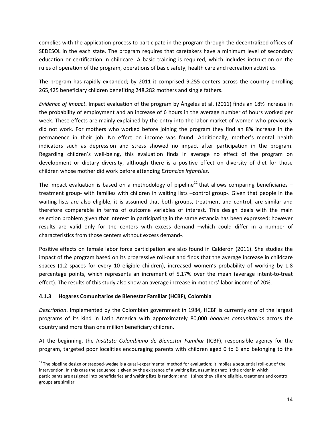complies with the application process to participate in the program through the decentralized offices of SEDESOL in the each state. The program requires that caretakers have a minimum level of secondary education or certification in childcare. A basic training is required, which includes instruction on the rules of operation of the program, operations of basic safety, health care and recreation activities.

The program has rapidly expanded; by 2011 it comprised 9,255 centers across the country enrolling 265,425 beneficiary children benefiting 248,282 mothers and single fathers.

*Evidence of impact*. Impact evaluation of the program by Ángeles et al. (2011) finds an 18% increase in the probability of employment and an increase of 6 hours in the average number of hours worked per week. These effects are mainly explained by the entry into the labor market of women who previously did not work. For mothers who worked before joining the program they find an 8% increase in the permanence in their job. No effect on income was found. Additionally, mother's mental health indicators such as depression and stress showed no impact after participation in the program. Regarding children's well-being, this evaluation finds in average no effect of the program on development or dietary diversity, although there is a positive effect on diversity of diet for those children whose mother did work before attending *Estancias Infantiles*.

The impact evaluation is based on a methodology of pipeline<sup>12</sup> that allows comparing beneficiaries – treatment group- with families with children in waiting lists –control group-. Given that people in the waiting lists are also eligible, it is assumed that both groups, treatment and control, are similar and therefore comparable in terms of outcome variables of interest. This design deals with the main selection problem given that interest in participating in the same estancia has been expressed; however results are valid only for the centers with excess demand –which could differ in a number of characteristics from those centers without excess demand-.

Positive effects on female labor force participation are also found in Calderón (2011). She studies the impact of the program based on its progressive roll-out and finds that the average increase in childcare spaces (1.2 spaces for every 10 eligible children), increased women's probability of working by 1.8 percentage points, which represents an increment of 5.17% over the mean (average intent-to-treat effect). The results of this study also show an average increase in mothers' labor income of 20%.

#### <span id="page-16-0"></span>**4.1.3 Hogares Comunitarios de Bienestar Familiar (HCBF), Colombia**

l

*Description*. Implemented by the Colombian government in 1984, HCBF is currently one of the largest programs of its kind in Latin America with approximately 80,000 *hogares comunitarios* across the country and more than one million beneficiary children.

At the beginning, the *Instituto Colombiano de Bienestar Familiar* (ICBF), responsible agency for the program, targeted poor localities encouraging parents with children aged 0 to 6 and belonging to the

<sup>&</sup>lt;sup>12</sup> The pipeline design or stepped-wedge is a quasi-experimental method for evaluation; it implies a sequential roll-out of the intervention. In this case the sequence is given by the existence of a waiting list, assuming that: i) the order in which participants are assigned into beneficiaries and waiting lists is random; and ii) since they all are eligible, treatment and control groups are similar.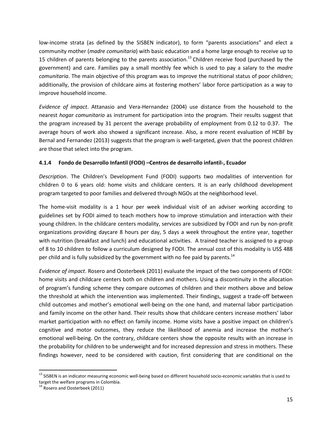low-income strata (as defined by the SISBEN indicator), to form "parents associations" and elect a community mother (*madre comunitaria*) with basic education and a home large enough to receive up to 15 children of parents belonging to the parents association.<sup>13</sup> Children receive food (purchased by the government) and care. Families pay a small monthly fee which is used to pay a salary to the *madre comunitaria*. The main objective of this program was to improve the nutritional status of poor children; additionally, the provision of childcare aims at fostering mothers' labor force participation as a way to improve household income.

*Evidence of impact*. Attanasio and Vera-Hernandez (2004) use distance from the household to the nearest *hogar comunitario* as instrument for participation into the program. Their results suggest that the program increased by 31 percent the average probability of employment from 0.12 to 0.37. The average hours of work also showed a significant increase. Also, a more recent evaluation of HCBF by Bernal and Fernandez (2013) suggests that the program is well-targeted, given that the poorest children are those that select into the program.

#### <span id="page-17-0"></span>**4.1.4 Fondo de Desarrollo Infantil (FODI) –Centros de desarrollo infantil-, Ecuador**

*Description*. The Children's Development Fund (FODI) supports two modalities of intervention for children 0 to 6 years old: home visits and childcare centers. It is an early childhood development program targeted to poor families and delivered through NGOs at the neighborhood level.

The home-visit modality is a 1 hour per week individual visit of an adviser working according to guidelines set by FODI aimed to teach mothers how to improve stimulation and interaction with their young children. In the childcare centers modality, services are subsidized by FODI and run by non-profit organizations providing daycare 8 hours per day, 5 days a week throughout the entire year, together with nutrition (breakfast and lunch) and educational activities. A trained teacher is assigned to a group of 8 to 10 children to follow a curriculum designed by FODI. The annual cost of this modality is US\$ 488 per child and is fully subsidized by the government with no fee paid by parents.<sup>14</sup>

*Evidence of impact*. Rosero and Oosterbeek (2011) evaluate the impact of the two components of FODI: home visits and childcare centers both on children and mothers. Using a discontinuity in the allocation of program's funding scheme they compare outcomes of children and their mothers above and below the threshold at which the intervention was implemented. Their findings, suggest a trade-off between child outcomes and mother's emotional well-being on the one hand, and maternal labor participation and family income on the other hand. Their results show that childcare centers increase mothers' labor market participation with no effect on family income. Home visits have a positive impact on children's cognitive and motor outcomes, they reduce the likelihood of anemia and increase the mother's emotional well-being. On the contrary, childcare centers show the opposite results with an increase in the probability for children to be underweight and for increased depression and stress in mothers. These findings however, need to be considered with caution, first considering that are conditional on the

l

<sup>&</sup>lt;sup>13</sup> SISBEN is an indicator measuring economic well-being based on different household socio-economic variables that is used to target the welfare programs in Colombia.

<sup>&</sup>lt;sup>14</sup> Rosero and Oosterbeek (2011)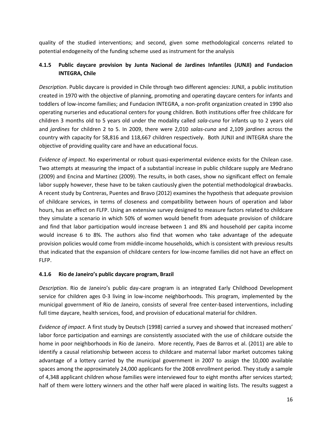quality of the studied interventions; and second, given some methodological concerns related to potential endogeneity of the funding scheme used as instrument for the analysis

#### <span id="page-18-0"></span>**4.1.5 Public daycare provision by Junta Nacional de Jardines Infantiles (JUNJI) and Fundacion INTEGRA, Chile**

*Description*. Public daycare is provided in Chile through two different agencies: JUNJI, a public institution created in 1970 with the objective of planning, promoting and operating daycare centers for infants and toddlers of low-income families; and Fundacion INTEGRA, a non-profit organization created in 1990 also operating nurseries and educational centers for young children. Both institutions offer free childcare for children 3 months old to 5 years old under the modality called *sala-cuna* for infants up to 2 years old and *jardines* for children 2 to 5. In 2009, there were 2,010 *salas-cuna* and 2,109 *jardines* across the country with capacity for 58,816 and 118,667 children respectively. Both JUNJI and INTEGRA share the objective of providing quality care and have an educational focus.

*Evidence of impact*. No experimental or robust quasi-experimental evidence exists for the Chilean case. Two attempts at measuring the impact of a substantial increase in public childcare supply are Medrano (2009) and Encina and Martínez (2009). The results, in both cases, show no significant effect on female labor supply however, these have to be taken cautiously given the potential methodological drawbacks. A recent study by Contreras, Puentes and Bravo (2012) examines the hypothesis that adequate provision of childcare services, in terms of closeness and compatibility between hours of operation and labor hours, has an effect on FLFP. Using an extensive survey designed to measure factors related to childcare they simulate a scenario in which 50% of women would benefit from adequate provision of childcare and find that labor participation would increase between 1 and 8% and household per capita income would increase 6 to 8%. The authors also find that women who take advantage of the adequate provision policies would come from middle-income households, which is consistent with previous results that indicated that the expansion of childcare centers for low-income families did not have an effect on FLFP.

#### <span id="page-18-1"></span>**4.1.6 Rio de Janeiro's public daycare program, Brazil**

*Description*. Rio de Janeiro's public day-care program is an integrated Early Childhood Development service for children ages 0-3 living in low-income neighborhoods. This program, implemented by the municipal government of Rio de Janeiro, consists of several free center-based interventions, including full time daycare, health services, food, and provision of educational material for children.

*Evidence of impact*. A first study by Deutsch (1998) carried a survey and showed that increased mothers' labor force participation and earnings are consistently associated with the use of childcare outside the home in poor neighborhoods in Rio de Janeiro. More recently, Paes de Barros et al. (2011) are able to identify a causal relationship between access to childcare and maternal labor market outcomes taking advantage of a lottery carried by the municipal government in 2007 to assign the 10,000 available spaces among the approximately 24,000 applicants for the 2008 enrollment period. They study a sample of 4,348 applicant children whose families were interviewed four to eight months after services started; half of them were lottery winners and the other half were placed in waiting lists. The results suggest a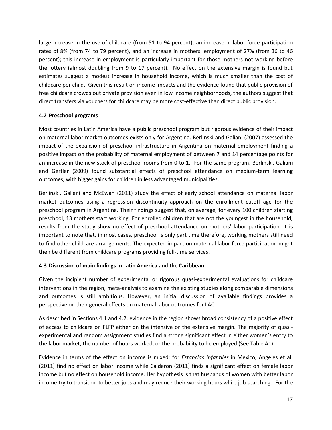large increase in the use of childcare (from 51 to 94 percent); an increase in labor force participation rates of 8% (from 74 to 79 percent), and an increase in mothers' employment of 27% (from 36 to 46 percent); this increase in employment is particularly important for those mothers not working before the lottery (almost doubling from 9 to 17 percent). No effect on the extensive margin is found but estimates suggest a modest increase in household income, which is much smaller than the cost of childcare per child. Given this result on income impacts and the evidence found that public provision of free childcare crowds out private provision even in low income neighborhoods, the authors suggest that direct transfers via vouchers for childcare may be more cost-effective than direct public provision.

#### <span id="page-19-0"></span>**4.2 Preschool programs**

Most countries in Latin America have a public preschool program but rigorous evidence of their impact on maternal labor market outcomes exists only for Argentina. Berlinski and Galiani (2007) assessed the impact of the expansion of preschool infrastructure in Argentina on maternal employment finding a positive impact on the probability of maternal employment of between 7 and 14 percentage points for an increase in the new stock of preschool rooms from 0 to 1. For the same program, Berlinski, Galiani and Gertler (2009) found substantial effects of preschool attendance on medium-term learning outcomes, with bigger gains for children in less advantaged municipalities.

Berlinski, Galiani and McEwan (2011) study the effect of early school attendance on maternal labor market outcomes using a regression discontinuity approach on the enrollment cutoff age for the preschool program in Argentina. Their findings suggest that, on average, for every 100 children starting preschool, 13 mothers start working. For enrolled children that are not the youngest in the household, results from the study show no effect of preschool attendance on mothers' labor participation. It is important to note that, in most cases, preschool is only part time therefore, working mothers still need to find other childcare arrangements. The expected impact on maternal labor force participation might then be different from childcare programs providing full-time services.

#### **4.3 Discussion of main findings in Latin America and the Caribbean**

Given the incipient number of experimental or rigorous quasi-experimental evaluations for childcare interventions in the region, meta-analysis to examine the existing studies along comparable dimensions and outcomes is still ambitious. However, an initial discussion of available findings provides a perspective on their general effects on maternal labor outcomes for LAC.

As described in Sections 4.1 and 4.2, evidence in the region shows broad consistency of a positive effect of access to childcare on FLFP either on the intensive or the extensive margin. The majority of quasiexperimental and random assignment studies find a strong significant effect in either women's entry to the labor market, the number of hours worked, or the probability to be employed (See Table A1).

Evidence in terms of the effect on income is mixed: for *Estancias Infantiles* in Mexico, Angeles et al. (2011) find no effect on labor income while Calderon (2011) finds a significant effect on female labor income but no effect on household income. Her hypothesis is that husbands of women with better labor income try to transition to better jobs and may reduce their working hours while job searching. For the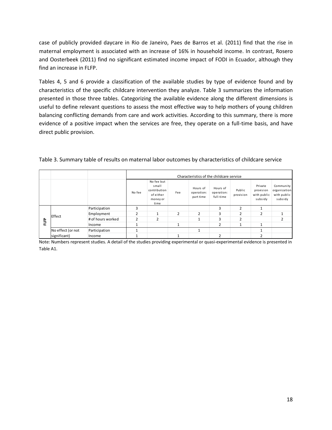case of publicly provided daycare in Rio de Janeiro, Paes de Barros et al. (2011) find that the rise in maternal employment is associated with an increase of 16% in household income. In contrast, Rosero and Oosterbeek (2011) find no significant estimated income impact of FODI in Ecuador, although they find an increase in FLFP.

Tables 4, 5 and 6 provide a classification of the available studies by type of evidence found and by characteristics of the specific childcare intervention they analyze. Table 3 summarizes the information presented in those three tables. Categorizing the available evidence along the different dimensions is useful to define relevant questions to assess the most effective way to help mothers of young children balancing conflicting demands from care and work activities. According to this summary, there is more evidence of a positive impact when the services are free, they operate on a full-time basis, and have direct public provision.

|   |                   |                   |              |                                                                      |              | Characteristics of the childcare service |                                     |                     |                                                |                                     |
|---|-------------------|-------------------|--------------|----------------------------------------------------------------------|--------------|------------------------------------------|-------------------------------------|---------------------|------------------------------------------------|-------------------------------------|
|   |                   |                   | No fee       | No fee but<br>small<br>contribution<br>of either<br>money or<br>time | Fee          | Hours of<br>operation:<br>part time      | Hours of<br>operation:<br>full-time | Public<br>provision | Private<br>provision<br>with public<br>subsidy | Community<br>with public<br>subsidy |
|   |                   | Participation     | ς            |                                                                      |              |                                          | ς                                   | $\mathcal{P}$       |                                                |                                     |
|   | Effect            | Employment        | <sup>-</sup> |                                                                      | <sup>-</sup> | $\overline{ }$                           | ς                                   |                     | $\overline{2}$                                 | organization<br>h                   |
| Ê |                   | # of hours worked | ∍            | ∍                                                                    |              |                                          | ς                                   |                     |                                                |                                     |
|   |                   | Income            |              |                                                                      |              |                                          | า                                   |                     |                                                |                                     |
|   | No effect (or not | Participation     |              |                                                                      |              |                                          |                                     |                     |                                                |                                     |
|   | significant)      | Income            |              |                                                                      |              |                                          | C                                   |                     |                                                |                                     |

Table 3. Summary table of results on maternal labor outcomes by characteristics of childcare service

Note: Numbers represent studies. A detail of the studies providing experimental or quasi-experimental evidence is presented in Table A1.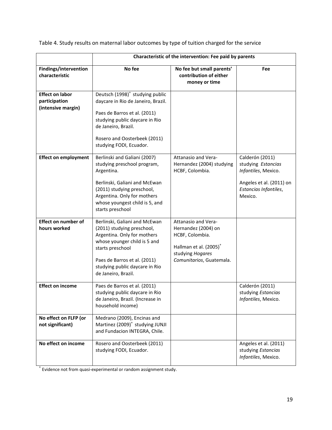Table 4. Study results on maternal labor outcomes by type of tuition charged for the service

| Characteristic of the intervention: Fee paid by parents       |                                                                                                                                                                                                                                         |                                                                                                                                                     |                                                                                                                              |  |  |  |  |  |
|---------------------------------------------------------------|-----------------------------------------------------------------------------------------------------------------------------------------------------------------------------------------------------------------------------------------|-----------------------------------------------------------------------------------------------------------------------------------------------------|------------------------------------------------------------------------------------------------------------------------------|--|--|--|--|--|
| <b>Findings/intervention</b><br>characteristic                | No fee                                                                                                                                                                                                                                  | No fee but small parents'<br>contribution of either<br>money or time                                                                                | Fee                                                                                                                          |  |  |  |  |  |
| <b>Effect on labor</b><br>participation<br>(intensive margin) | Deutsch (1998) <sup>+</sup> studying public<br>daycare in Rio de Janeiro, Brazil.<br>Paes de Barros et al. (2011)<br>studying public daycare in Rio<br>de Janeiro, Brazil.<br>Rosero and Oosterbeek (2011)<br>studying FODI, Ecuador.   |                                                                                                                                                     |                                                                                                                              |  |  |  |  |  |
| <b>Effect on employment</b>                                   | Berlinski and Galiani (2007)<br>studying preschool program,<br>Argentina.<br>Berlinski, Galiani and McEwan<br>(2011) studying preschool,<br>Argentina. Only for mothers<br>whose youngest child is 5, and<br>starts preschool           | Attanasio and Vera-<br>Hernandez (2004) studying<br>HCBF, Colombia.                                                                                 | Calderón (2011)<br>studying Estancias<br>Infantiles, Mexico.<br>Angeles et al. (2011) on<br>Estancias Infantiles,<br>Mexico. |  |  |  |  |  |
| <b>Effect on number of</b><br>hours worked                    | Berlinski, Galiani and McEwan<br>(2011) studying preschool,<br>Argentina. Only for mothers<br>whose younger child is 5 and<br>starts preschool<br>Paes de Barros et al. (2011)<br>studying public daycare in Rio<br>de Janeiro, Brazil. | Attanasio and Vera-<br>Hernandez (2004) on<br>HCBF, Colombia.<br>Hallman et al. (2005) <sup>+</sup><br>studying Hogares<br>Comunitarios, Guatemala. |                                                                                                                              |  |  |  |  |  |
| <b>Effect on income</b>                                       | Paes de Barros et al. (2011)<br>studying public daycare in Rio<br>de Janeiro, Brazil. (Increase in<br>household income)                                                                                                                 |                                                                                                                                                     | Calderón (2011)<br>studying Estancias<br>Infantiles, Mexico.                                                                 |  |  |  |  |  |
| No effect on FLFP (or<br>not significant)                     | Medrano (2009), Encinas and<br>Martinez (2009) <sup>+</sup> studying JUNJI<br>and Fundacion INTEGRA, Chile.                                                                                                                             |                                                                                                                                                     |                                                                                                                              |  |  |  |  |  |
| No effect on income                                           | Rosero and Oosterbeek (2011)<br>studying FODI, Ecuador.                                                                                                                                                                                 |                                                                                                                                                     | Angeles et al. (2011)<br>studying Estancias<br>Infantiles, Mexico.                                                           |  |  |  |  |  |

+ Evidence not from quasi-experimental or random assignment study.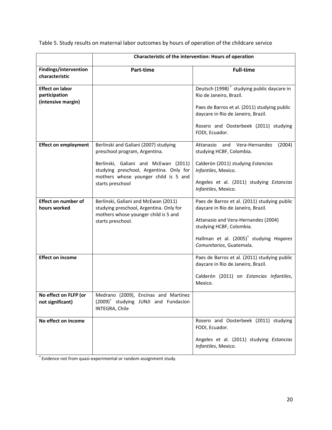|                                                               | Characteristic of the intervention: Hours of operation                                                                  |                                                                                    |  |  |  |  |  |
|---------------------------------------------------------------|-------------------------------------------------------------------------------------------------------------------------|------------------------------------------------------------------------------------|--|--|--|--|--|
| Findings/intervention<br>characteristic                       | Part-time                                                                                                               | <b>Full-time</b>                                                                   |  |  |  |  |  |
| <b>Effect on labor</b><br>participation<br>(intensive margin) |                                                                                                                         | Deutsch (1998) <sup>+</sup> studying public daycare in<br>Rio de Janeiro, Brazil.  |  |  |  |  |  |
|                                                               |                                                                                                                         | Paes de Barros et al. (2011) studying public<br>daycare in Rio de Janeiro, Brazil. |  |  |  |  |  |
|                                                               |                                                                                                                         | Rosero and Oosterbeek (2011) studying<br>FODI, Ecuador.                            |  |  |  |  |  |
| <b>Effect on employment</b>                                   | Berlinski and Galiani (2007) studying<br>preschool program, Argentina.                                                  | Attanasio<br>and Vera-Hernandez<br>(2004)<br>studying HCBF, Colombia.              |  |  |  |  |  |
|                                                               | Berlinski, Galiani and McEwan (2011)<br>studying preschool, Argentina. Only for<br>mothers whose younger child is 5 and | Calderón (2011) studying Estancias<br>Infantiles, Mexico.                          |  |  |  |  |  |
|                                                               | starts preschool                                                                                                        | Angeles et al. (2011) studying Estancias<br>Infantiles, Mexico.                    |  |  |  |  |  |
| <b>Effect on number of</b><br>hours worked                    | Berlinski, Galiani and McEwan (2011)<br>studying preschool, Argentina. Only for<br>mothers whose younger child is 5 and | Paes de Barros et al. (2011) studying public<br>daycare in Rio de Janeiro, Brazil. |  |  |  |  |  |
|                                                               | starts preschool.                                                                                                       | Attanasio and Vera-Hernandez (2004)<br>studying HCBF, Colombia.                    |  |  |  |  |  |
|                                                               |                                                                                                                         | Hallman et al. (2005) <sup>+</sup> studying Hogares<br>Comunitarios, Guatemala.    |  |  |  |  |  |
| <b>Effect on income</b>                                       |                                                                                                                         | Paes de Barros et al. (2011) studying public<br>daycare in Rio de Janeiro, Brazil. |  |  |  |  |  |
|                                                               |                                                                                                                         | Calderón (2011) on Estancias Infantiles,<br>Mexico.                                |  |  |  |  |  |
| No effect on FLFP (or                                         | Medrano (2009), Encinas and Martinez                                                                                    |                                                                                    |  |  |  |  |  |
| not significant)                                              | (2009) <sup>+</sup> studying JUNJI and Fundacion<br>INTEGRA, Chile                                                      |                                                                                    |  |  |  |  |  |
| No effect on income                                           |                                                                                                                         | Rosero and Oosterbeek (2011) studying<br>FODI, Ecuador.                            |  |  |  |  |  |
|                                                               |                                                                                                                         | Angeles et al. (2011) studying Estancias<br>Infantiles, Mexico.                    |  |  |  |  |  |

Table 5. Study results on maternal labor outcomes by hours of operation of the childcare service

<sup>+</sup>Evidence not from quasi-experimental or random assignment study.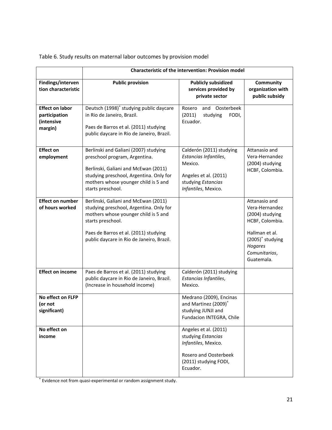|                                                                  | Characteristic of the intervention: Provision model                                                                                                                                                                                |                                                                                                                                    |                                                                                                                                                          |  |  |  |  |  |
|------------------------------------------------------------------|------------------------------------------------------------------------------------------------------------------------------------------------------------------------------------------------------------------------------------|------------------------------------------------------------------------------------------------------------------------------------|----------------------------------------------------------------------------------------------------------------------------------------------------------|--|--|--|--|--|
| Findings/interven<br>tion characteristic                         | <b>Public provision</b>                                                                                                                                                                                                            | <b>Publicly subsidized</b><br>services provided by<br>private sector                                                               | Community<br>organization with<br>public subsidy                                                                                                         |  |  |  |  |  |
| <b>Effect on labor</b><br>participation<br>(intensive<br>margin) | Deutsch (1998) <sup>+</sup> studying public daycare<br>in Rio de Janeiro, Brazil.<br>Paes de Barros et al. (2011) studying<br>public daycare in Rio de Janeiro, Brazil.                                                            | Rosero<br>and<br>Oosterbeek<br>(2011)<br>studying<br>FODI,<br>Ecuador.                                                             |                                                                                                                                                          |  |  |  |  |  |
| <b>Effect on</b><br>employment                                   | Berlinski and Galiani (2007) studying<br>preschool program, Argentina.<br>Berlinski, Galiani and McEwan (2011)<br>studying preschool, Argentina. Only for<br>mothers whose younger child is 5 and<br>starts preschool.             | Calderón (2011) studying<br>Estancias Infantiles,<br>Mexico.<br>Angeles et al. (2011)<br>studying Estancias<br>Infantiles, Mexico. | Attanasio and<br>Vera-Hernandez<br>(2004) studying<br>HCBF, Colombia.                                                                                    |  |  |  |  |  |
| <b>Effect on number</b><br>of hours worked                       | Berlinski, Galiani and McEwan (2011)<br>studying preschool, Argentina. Only for<br>mothers whose younger child is 5 and<br>starts preschool.<br>Paes de Barros et al. (2011) studying<br>public daycare in Rio de Janeiro, Brazil. |                                                                                                                                    | Attanasio and<br>Vera-Hernandez<br>(2004) studying<br>HCBF, Colombia.<br>Hallman et al.<br>$(2005)^+$ studying<br>Hogares<br>Comunitarios,<br>Guatemala. |  |  |  |  |  |
| <b>Effect on income</b>                                          | Paes de Barros et al. (2011) studying<br>public daycare in Rio de Janeiro, Brazil.<br>(Increase in household income)                                                                                                               | Calderón (2011) studying<br>Estancias Infantiles,<br>Mexico.                                                                       |                                                                                                                                                          |  |  |  |  |  |
| No effect on FLFP<br>(or not<br>significant)                     |                                                                                                                                                                                                                                    | Medrano (2009), Encinas<br>and Martinez (2009) <sup>+</sup><br>studying JUNJI and<br>Fundacion INTEGRA, Chile                      |                                                                                                                                                          |  |  |  |  |  |
| No effect on<br>income                                           |                                                                                                                                                                                                                                    | Angeles et al. (2011)<br>studying Estancias<br>Infantiles, Mexico.<br>Rosero and Oosterbeek<br>(2011) studying FODI,<br>Ecuador.   |                                                                                                                                                          |  |  |  |  |  |

Table 6. Study results on maternal labor outcomes by provision model

+ Evidence not from quasi-experimental or random assignment study.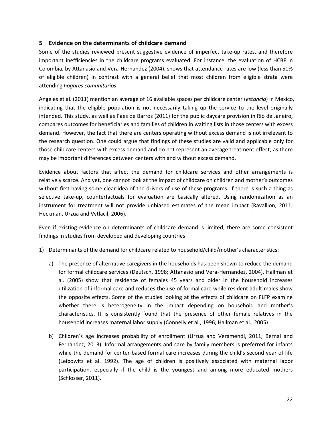#### <span id="page-24-0"></span>**5 Evidence on the determinants of childcare demand**

Some of the studies reviewed present suggestive evidence of imperfect take-up rates, and therefore important inefficiencies in the childcare programs evaluated. For instance, the evaluation of HCBF in Colombia, by Attanasio and Vera-Hernandez (2004), shows that attendance rates are low (less than 50% of eligible children) in contrast with a general belief that most children from eligible strata were attending *hogares comunitarios*.

Angeles et al. (2011) mention an average of 16 available spaces per childcare center (*estancia*) in Mexico, indicating that the eligible population is not necessarily taking up the service to the level originally intended. This study, as well as Paes de Barros (2011) for the public daycare provision in Rio de Janeiro, compares outcomes for beneficiaries and families of children in waiting lists in those centers with excess demand. However, the fact that there are centers operating without excess demand is not irrelevant to the research question. One could argue that findings of these studies are valid and applicable only for those childcare centers with excess demand and do not represent an average treatment effect, as there may be important differences between centers with and without excess demand.

Evidence about factors that affect the demand for childcare services and other arrangements is relatively scarce. And yet, one cannot look at the impact of childcare on children and mother's outcomes without first having some clear idea of the drivers of use of these programs. If there is such a thing as selective take-up, counterfactuals for evaluation are basically altered. Using randomization as an instrument for treatment will not provide unbiased estimates of the mean impact (Ravallion, 2011; Heckman, Urzua and Vytlacil, 2006).

Even if existing evidence on determinants of childcare demand is limited, there are some consistent findings in studies from developed and developing countries:

- 1) Determinants of the demand for childcare related to household/child/mother's characteristics:
	- a) The presence of alternative caregivers in the households has been shown to reduce the demand for formal childcare services (Deutsch, 1998; Attanasio and Vera-Hernandez, 2004). Hallman et al. (2005) show that residence of females 45 years and older in the household increases utilization of informal care and reduces the use of formal care while resident adult males show the opposite effects. Some of the studies looking at the effects of childcare on FLFP examine whether there is heterogeneity in the impact depending on household and mother's characteristics. It is consistently found that the presence of other female relatives in the household increases maternal labor supply (Connelly et al., 1996; Hallman et al., 2005).
	- b) Children's age increases probability of enrollment (Urzua and Veramendi, 2011; Bernal and Fernandez, 2013). Informal arrangements and care by family members is preferred for infants while the demand for center-based formal care increases during the child's second year of life (Leibowitz et al. 1992). The age of children is positively associated with maternal labor participation, especially if the child is the youngest and among more educated mothers (Schlosser, 2011).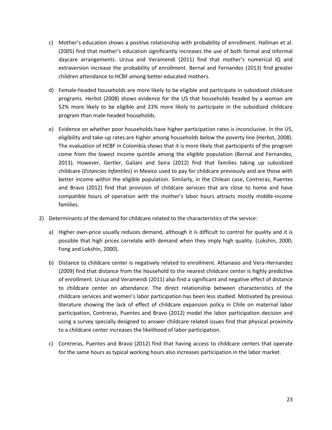- c) Mother's education shows a positive relationship with probability of enrollment. Hallman et al. (2005) find that mother's education significantly increases the use of both formal and informal daycare arrangements. Urzua and Veramendi (2011) find that mother's numerical IQ and extraversion increase the probability of enrollment. Bernal and Fernandez (2013) find greater children attendance to HCBF among better educated mothers.
- d) Female-headed households are more likely to be eligible and participate in subsidized childcare programs. Herbst (2008) shows evidence for the US that households headed by a woman are 52% more likely to be eligible and 23% more likely to participate in the subsidized childcare program than male-headed households.
- e) Evidence on whether poor households have higher participation rates is inconclusive. In the US, eligibility and take-up rates are higher among households below the poverty line (Herbst, 2008). The evaluation of HCBF in Colombia shows that it is more likely that participants of the program come from the lowest income quintile among the eligible population (Bernal and Fernandez, 2013). However, Gertler, Galiani and Seira (2012) find that families taking up subsidized childcare (*Estancias Infantiles*) in Mexico used to pay for childcare previously and are those with better income within the eligible population. Similarly, in the Chilean case, Contreras, Puentes and Bravo (2012) find that provision of childcare services that are close to home and have compatible hours of operation with the mother's labor hours attracts mostly middle-income families.
- 2) Determinants of the demand for childcare related to the characteristics of the service:
	- a) Higher own-price usually reduces demand, although it is difficult to control for quality and it is possible that high prices correlate with demand when they imply high quality. (Lokshin, 2000; Fong and Lokshin, 2000).
	- b) Distance to childcare center is negatively related to enrollment. Attanasio and Vera-Hernandez (2009) find that distance from the household to the nearest childcare center is highly predictive of enrollment. Urzua and Veramendi (2011) also find a significant and negative effect of distance to childcare center on attendance. The direct relationship between characteristics of the childcare services and women's labor participation has been less studied. Motivated by previous literature showing the lack of effect of childcare expansion policy in Chile on maternal labor participation, Contreras, Puentes and Bravo (2012) model the labor participation decision and using a survey specially designed to answer childcare related issues find that physical proximity to a childcare center increases the likelihood of labor participation.
	- c) Contreras, Puentes and Bravo (2012) find that having access to childcare centers that operate for the same hours as typical working hours also increases participation in the labor market.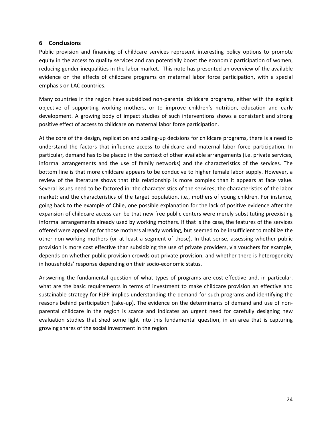#### <span id="page-26-0"></span>**6 Conclusions**

Public provision and financing of childcare services represent interesting policy options to promote equity in the access to quality services and can potentially boost the economic participation of women, reducing gender inequalities in the labor market. This note has presented an overview of the available evidence on the effects of childcare programs on maternal labor force participation, with a special emphasis on LAC countries.

Many countries in the region have subsidized non-parental childcare programs, either with the explicit objective of supporting working mothers, or to improve children's nutrition, education and early development. A growing body of impact studies of such interventions shows a consistent and strong positive effect of access to childcare on maternal labor force participation.

At the core of the design, replication and scaling-up decisions for childcare programs, there is a need to understand the factors that influence access to childcare and maternal labor force participation. In particular, demand has to be placed in the context of other available arrangements (i.e. private services, informal arrangements and the use of family networks) and the characteristics of the services. The bottom line is that more childcare appears to be conducive to higher female labor supply. However, a review of the literature shows that this relationship is more complex than it appears at face value. Several issues need to be factored in: the characteristics of the services; the characteristics of the labor market; and the characteristics of the target population, i.e., mothers of young children. For instance, going back to the example of Chile, one possible explanation for the lack of positive evidence after the expansion of childcare access can be that new free public centers were merely substituting preexisting informal arrangements already used by working mothers. If that is the case, the features of the services offered were appealing for those mothers already working, but seemed to be insufficient to mobilize the other non-working mothers (or at least a segment of those). In that sense, assessing whether public provision is more cost effective than subsidizing the use of private providers, via vouchers for example, depends on whether public provision crowds out private provision, and whether there is heterogeneity in households' response depending on their socio-economic status.

Answering the fundamental question of what types of programs are cost-effective and, in particular, what are the basic requirements in terms of investment to make childcare provision an effective and sustainable strategy for FLFP implies understanding the demand for such programs and identifying the reasons behind participation (take-up). The evidence on the determinants of demand and use of nonparental childcare in the region is scarce and indicates an urgent need for carefully designing new evaluation studies that shed some light into this fundamental question, in an area that is capturing growing shares of the social investment in the region.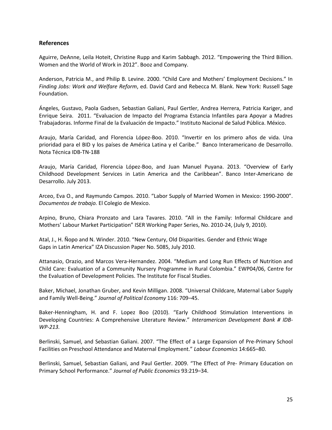#### **References**

Aguirre, DeAnne, Leila Hoteit, Christine Rupp and Karim Sabbagh. 2012. "Empowering the Third Billion. Women and the World of Work in 2012". Booz and Company.

Anderson, Patricia M., and Philip B. Levine. 2000. "Child Care and Mothers' Employment Decisions." In *Finding Jobs: Work and Welfare Reform*, ed. David Card and Rebecca M. Blank. New York: Russell Sage Foundation.

Ángeles, Gustavo, Paola Gadsen, Sebastian Galiani, Paul Gertler, Andrea Herrera, Patricia Kariger, and Enrique Seira. 2011. "Evaluacion de Impacto del Programa Estancia Infantiles para Apoyar a Madres Trabajadoras. Informe Final de la Evaluación de Impacto." Instituto Nacional de Salud Pública. México.

Araujo, María Caridad, and Florencia López-Boo. 2010. "Invertir en los primero años de vida. Una prioridad para el BID y los países de América Latina y el Caribe*.*" Banco Interamericano de Desarrollo. Nota Técnica IDB-TN-188

Araujo, María Caridad, Florencia López-Boo, and Juan Manuel Puyana. 2013. "Overview of Early Childhood Development Services in Latin America and the Caribbean". Banco Inter-Americano de Desarrollo. July 2013.

Arceo, Eva O., and Raymundo Campos. 2010. "Labor Supply of Married Women in Mexico: 1990-2000". *Documentos de trabajo.* El Colegio de Mexico.

Arpino, Bruno, Chiara Pronzato and Lara Tavares. 2010. "All in the Family: Informal Childcare and Mothers' Labour Market Participation" ISER Working Paper Series, No. 2010-24, (July 9, 2010).

Atal, J., H. Ñopo and N. Winder. 2010. "New Century, Old Disparities. Gender and Ethnic Wage Gaps in Latin America" IZA Discussion Paper No. 5085, July 2010.

Attanasio, Orazio, and Marcos Vera-Hernandez. 2004. "Medium and Long Run Effects of Nutrition and Child Care: Evaluation of a Community Nursery Programme in Rural Colombia." EWP04/06, Centre for the Evaluation of Development Policies. The Institute for Fiscal Studies.

Baker, Michael, Jonathan Gruber, and Kevin Milligan. 2008. "Universal Childcare, Maternal Labor Supply and Family Well-Being." *Journal of Political Economy* 116: 709–45.

Baker-Henningham, H. and F. Lopez Boo (2010). "Early Childhood Stimulation Interventions in Developing Countries: A Comprehensive Literature Review." *Interamerican Development Bank # IDB-WP-213.*

Berlinski, Samuel, and Sebastian Galiani. 2007. "The Effect of a Large Expansion of Pre-Primary School Facilities on Preschool Attendance and Maternal Employment." *Labour Economics* 14:665–80.

Berlinski, Samuel, Sebastian Galiani, and Paul Gertler. 2009. "The Effect of Pre- Primary Education on Primary School Performance." *Journal of Public Economics* 93:219–34.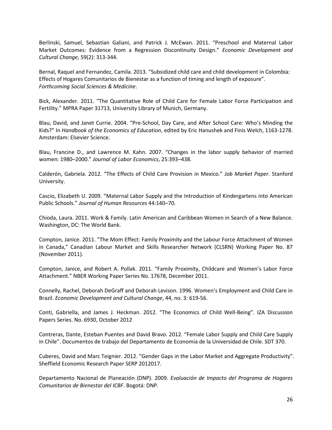Berlinski, Samuel, Sebastian Galiani, and Patrick J. McEwan. 2011. "Preschool and Maternal Labor Market Outcomes: Evidence from a Regression Discontinuity Design." *Economic Development and Cultural Change,* 59(2): 313-344.

Bernal, Raquel and Fernandez, Camila. 2013. "Subsidized child care and child development in Colombia: Effects of Hogares Comunitarios de Bienestar as a function of timing and length of exposure". *Forthcoming Social Sciences & Medicine*.

Bick, Alexander. 2011. "The Quantitative Role of Child Care for Female Labor Force Participation and Fertility." MPRA Paper 31713, University Library of Munich, Germany.

Blau, David, and Janet Currie. 2004. "Pre-School, Day Care, and After School Care: Who's Minding the Kids?" In *Handbook of the Economics of Education*, edited by Eric Hanushek and Finis Welch, 1163-1278. Amsterdam: Elsevier Science.

Blau, Francine D., and Lawrence M. Kahn. 2007. "Changes in the labor supply behavior of married women: 1980–2000." *Journal of Labor Economics*, 25:393–438.

Calderón, Gabriela. 2012. "The Effects of Child Care Provision in Mexico." *Job Market Paper*. Stanford University.

Cascio, Elizabeth U. 2009. "Maternal Labor Supply and the Introduction of Kindergartens into American Public Schools." *Journal of Human Resources* 44:140–70.

Chioda, Laura. 2011. Work & Family. Latin American and Caribbean Women in Search of a New Balance. Washington, DC: The World Bank.

Compton, Janice. 2011. "The Mom Effect: Family Proximity and the Labour Force Attachment of Women in Canada," Canadian Labour Market and Skills Researcher Network (CLSRN) Working Paper No. 87 (November 2011).

Compton, Janice, and Robert A. Pollak. 2011. "Family Proximity, Childcare and Women's Labor Force Attachment." NBER Working Paper Series No. 17678, December 2011.

Connelly, Rachel, Deborah DeGraff and Deborah Levison. 1996. Women's Employment and Child Care in Brazil. *Economic Development and Cultural Change*, 44, no. 3: 619-56.

Conti, Gabriella, and James J. Heckman. 2012. "The Economics of Child Well-Being". IZA Discussion Papers Series. No. 6930, October 2012

Contreras, Dante, Esteban Puentes and David Bravo. 2012. "Female Labor Supply and Child Care Supply in Chile". Documentos de trabajo del Departamento de Economía de la Universidad de Chile. SDT 370.

Cuberes, David and Marc Teignier. 2012. "Gender Gaps in the Labor Market and Aggregate Productivity". Sheffield Economic Research Paper SERP 2012017.

Departamento Nacional de Planeación (DNP). 2009. *Evaluación de Impacto del Programa de Hogares Comunitarios de Bienestar del ICBF*. Bogotá: DNP.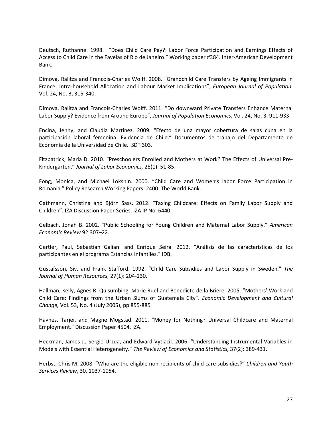Deutsch, Ruthanne. 1998. "Does Child Care Pay?: Labor Force Participation and Earnings Effects of Access to Child Care in the Favelas of Rio de Janeiro." Working paper #384. Inter-American Development Bank.

Dimova, Ralitza and Francois-Charles Wolff. 2008. "Grandchild Care Transfers by Ageing Immigrants in France: Intra-household Allocation and Labour Market Implications", *European Journal of Population*, Vol. 24, No. 3, 315-340.

Dimova, Ralitza and Francois-Charles Wolff. 2011. "Do downward Private Transfers Enhance Maternal Labor Supply? Evidence from Around Europe", *Journal of Population Economics*, Vol. 24, No. 3, 911-933.

Encina, Jenny, and Claudia Martinez. 2009. "Efecto de una mayor cobertura de salas cuna en la participación laboral femenina: Evidencia de Chile." Documentos de trabajo del Departamento de Economía de la Universidad de Chile. SDT 303.

Fitzpatrick, Maria D. 2010. "Preschoolers Enrolled and Mothers at Work? The Effects of Universal Pre-Kindergarten." *Journal of Labor Economics,* 28(1): 51-85.

Fong, Monica, and Michael Lokshin. 2000. "Child Care and Women's labor Force Participation in Romania." Policy Research Working Papers: 2400. The World Bank.

Gathmann, Christina and Björn Sass. 2012. "Taxing Childcare: Effects on Family Labor Supply and Children". IZA Discussion Paper Series. IZA IP No. 6440.

Gelbach, Jonah B. 2002. "Public Schooling for Young Children and Maternal Labor Supply." *American Economic Review* 92:307–22.

Gertler, Paul, Sebastian Galiani and Enrique Seira. 2012. "Análisis de las características de los participantes en el programa Estancias Infantiles." IDB.

Gustafsson, Siv, and Frank Stafford. 1992. "Child Care Subsidies and Labor Supply in Sweden." *The Journal of Human Resources,* 27(1): 204-230.

Hallman, Kelly, Agnes R. Quisumbing, Marie Ruel and Benedicte de la Briere. 2005. "Mothers' Work and Child Care: Findings from the Urban Slums of Guatemala City". *Economic Development and Cultural Change,* Vol. 53, No. 4 (July 2005), pp 855-885

Havnes, Tarjei, and Magne Mogstad. 2011. "Money for Nothing? Universal Childcare and Maternal Employment." Discussion Paper 4504, IZA.

Heckman, James J., Sergio Urzua, and Edward Vytlacil. 2006. "Understanding Instrumental Variables in Models with Essential Heterogeneity." *The Review of Economics and Statistics,* 37(2): 389-431.

Herbst, Chris M. 2008. "Who are the eligible non-recipients of child care subsidies?" *Children and Youth Services Review*, 30, 1037-1054.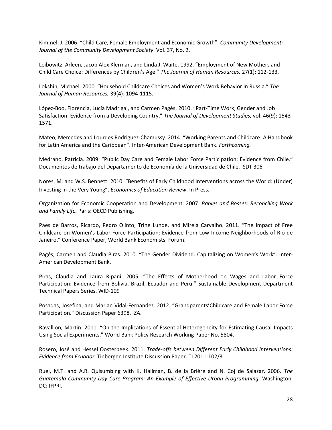Kimmel, J. 2006. "Child Care, Female Employment and Economic Growth". *Community Development: Journal of the Community Development Society*. Vol. 37, No. 2.

Leibowitz, Arleen, Jacob Alex Klerman, and Linda J. Waite. 1992. "Employment of New Mothers and Child Care Choice: Differences by Children's Age." *The Journal of Human Resources,* 27(1): 112-133.

Lokshin, Michael. 2000. "Household Childcare Choices and Women's Work Behavior in Russia." *The Journal of Human Resources,* 39(4): 1094-1115.

López-Boo, Florencia, Lucía Madrigal, and Carmen Pagés. 2010. "Part-Time Work, Gender and Job Satisfaction: Evidence from a Developing Country." *The Journal of Development Studies,* vol. 46(9): 1543- 1571.

Mateo, Mercedes and Lourdes Rodriguez-Chamussy. 2014. "Working Parents and Childcare: A Handbook for Latin America and the Caribbean". Inter-American Development Bank. *Forthcoming.*

Medrano, Patricia. 2009. "Public Day Care and Female Labor Force Participation: Evidence from Chile." Documentos de trabajo del Departamento de Economía de la Universidad de Chile. SDT 306

Nores, M. and W.S. Bennett. 2010. "Benefits of Early Childhood Interventions across the World: (Under) Investing in the Very Young". *Economics of Education Review*. In Press.

Organization for Economic Cooperation and Development. 2007. *Babies and Bosses: Reconciling Work and Family Life.* Paris: OECD Publishing.

Paes de Barros, Ricardo, Pedro Olinto, Trine Lunde, and Mirela Carvalho. 2011. "The Impact of Free Childcare on Women's Labor Force Participation: Evidence from Low-Income Neighborhoods of Rio de Janeiro." Conference Paper, World Bank Economists' Forum.

Pagés, Carmen and Claudia Piras. 2010. "The Gender Dividend. Capitalizing on Women's Work". Inter-American Development Bank.

Piras, Claudia and Laura Ripani. 2005. "The Effects of Motherhood on Wages and Labor Force Participation: Evidence from Bolivia, Brazil, Ecuador and Peru." Sustainable Development Department Technical Papers Series. WID-109

Posadas, Josefina, and Marian Vidal-Fernández. 2012. "Grandparents'Childcare and Female Labor Force Participation." Discussion Paper 6398, IZA.

Ravallion, Martin. 2011. "On the Implications of Essential Heterogeneity for Estimating Causal Impacts Using Social Experiments." World Bank Policy Research Working Paper No. 5804.

Rosero, José and Hessel Oosterbeek. 2011. *Trade-offs between Different Early Childhood Interventions: Evidence from Ecuador*. Tinbergen Institute Discussion Paper. TI 2011-102/3

Ruel, M.T. and A.R. Quisumbing with K. Hallman, B. de la Brière and N. Coj de Salazar. 2006. *The Guatemala Community Day Care Program: An Example of Effective Urban Programming.* Washington, DC: IFPRI.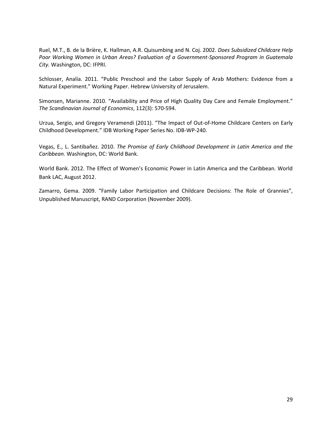Ruel, M.T., B. de la Brière, K. Hallman, A.R. Quisumbing and N. Coj. 2002. *Does Subsidized Childcare Help Poor Working Women in Urban Areas? Evaluation of a Government-Sponsored Program in Guatemala City.* Washington, DC: IFPRI.

Schlosser, Analía. 2011. "Public Preschool and the Labor Supply of Arab Mothers: Evidence from a Natural Experiment." Working Paper. Hebrew University of Jerusalem.

Simonsen, Marianne. 2010. "Availability and Price of High Quality Day Care and Female Employment." *The Scandinavian Journal of Economics*, 112(3): 570-594.

Urzua, Sergio, and Gregory Veramendi (2011). "The Impact of Out-of-Home Childcare Centers on Early Childhood Development." IDB Working Paper Series No. IDB-WP-240.

Vegas, E., L. Santibañez. 2010. *The Promise of Early Childhood Development in Latin America and the Caribbean.* Washington, DC: World Bank.

World Bank. 2012. The Effect of Women's Economic Power in Latin America and the Caribbean. World Bank LAC, August 2012.

Zamarro, Gema. 2009. "Family Labor Participation and Childcare Decisions: The Role of Grannies", Unpublished Manuscript, RAND Corporation (November 2009).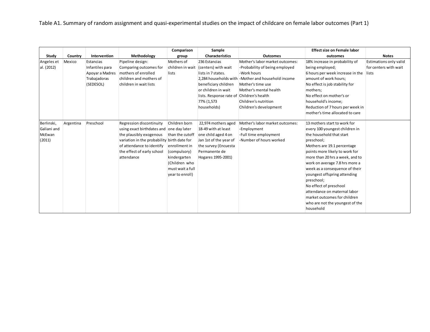Table A1. Summary of random assignment and quasi-experimental studies on the impact of childcare on female labor outcomes (Part 1)

|             |           |                 |                                             | Comparison       | Sample                                    |                                                     | <b>Effect size on Female labor</b> |                        |
|-------------|-----------|-----------------|---------------------------------------------|------------------|-------------------------------------------|-----------------------------------------------------|------------------------------------|------------------------|
| Study       | Country   | Intervention    | Methodology                                 | group            | <b>Characteristics</b>                    | <b>Outcomes</b>                                     | outcomes                           | <b>Notes</b>           |
| Angeles et  | Mexico    | Estancias       | Pipeline design:                            | Mothers of       | 236 Estancias                             | Mother's labor market outcomes:                     | 18% increase in probability of     | Estimations only valid |
| al. (2012)  |           | Infantiles para | Comparing outcomes for                      | children in wait | (centers) with wait                       | -Probability of being employed                      | being employed;                    | for centers with wait  |
|             |           | Apoyar a Madres | mothers of enrolled                         | lists            | lists in 7 states.                        | -Work hours                                         | 6 hours per week increase in the   | lists                  |
|             |           | Trabajadoras    | children and mothers of                     |                  |                                           | 2,284 households with - Mother and household income | amount of work hours;              |                        |
|             |           | (SEDESOL)       | children in wait lists                      |                  | beneficiary children                      | Mother's time use                                   | No effect is job stability for     |                        |
|             |           |                 |                                             |                  | or children in wait                       | Mother's mental health                              | mothers;                           |                        |
|             |           |                 |                                             |                  | lists. Response rate of Children's health |                                                     | No effect on mother's or           |                        |
|             |           |                 |                                             |                  | 77% (1,573                                | Children's nutrition                                | household's income;                |                        |
|             |           |                 |                                             |                  | households)                               | Children's development                              | Reduction of 7 hours per week in   |                        |
|             |           |                 |                                             |                  |                                           |                                                     | mother's time allocated to care    |                        |
|             |           |                 |                                             |                  |                                           |                                                     |                                    |                        |
| Berlinski,  | Argentina | Preschool       | Regression discontinuity                    | Children born    | 22,974 mothers aged                       | Mother's labor market outcomes:                     | 13 mothers start to work for       |                        |
| Galiani and |           |                 | using exact birthdates and one day later    |                  | 18-49 with at least                       | -Employment                                         | every 100 youngest children in     |                        |
| McEwan      |           |                 | the plausibly exogenous                     | than the cutoff  | one child aged 4 on                       | -Full time employment                               | the household that start           |                        |
| (2011)      |           |                 | variation in the probability birth date for |                  | Jan 1st of the year of                    | -Number of hours worked                             | preschool;                         |                        |
|             |           |                 | of attendance to identify                   | enrollment in    | the survey (Encuesta                      |                                                     | Mothers are 19.1 percentage        |                        |
|             |           |                 | the effect of early school                  | (compulsory)     | Permanente de                             |                                                     | points more likely to work for     |                        |
|             |           |                 | attendance                                  | kindergarten     | Hogares 1995-2001)                        |                                                     | more than 20 hrs a week, and to    |                        |
|             |           |                 |                                             | (Children who    |                                           |                                                     | work on average 7.8 hrs more a     |                        |
|             |           |                 |                                             | must wait a full |                                           |                                                     | week as a consequence of their     |                        |
|             |           |                 |                                             | year to enroll)  |                                           |                                                     | youngest offspring attending       |                        |
|             |           |                 |                                             |                  |                                           |                                                     | preschool;                         |                        |
|             |           |                 |                                             |                  |                                           |                                                     | No effect of preschool             |                        |
|             |           |                 |                                             |                  |                                           |                                                     | attendance on maternal labor       |                        |
|             |           |                 |                                             |                  |                                           |                                                     | market outcomes for children       |                        |
|             |           |                 |                                             |                  |                                           |                                                     | who are not the youngest of the    |                        |
|             |           |                 |                                             |                  |                                           |                                                     | household                          |                        |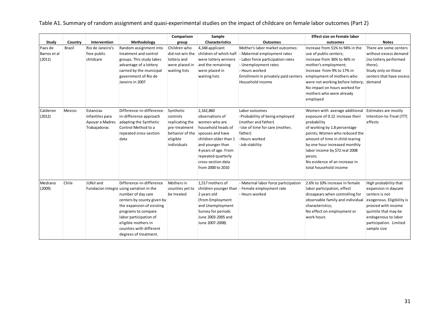Table A1. Summary of random assignment and quasi-experimental studies on the impact of childcare on female labor outcomes (Part 2)

|                                   |         |                                                                 |                                                                                                                                                                                                                                                                                   | Comparison                                                                                              | Sample                                                                                                                                                                                                                        |                                                                                                                                                                                                           | <b>Effect size on Female labor</b>                                                                                                                                                                                                                                                                                          |                                                                                                                                                                                                             |
|-----------------------------------|---------|-----------------------------------------------------------------|-----------------------------------------------------------------------------------------------------------------------------------------------------------------------------------------------------------------------------------------------------------------------------------|---------------------------------------------------------------------------------------------------------|-------------------------------------------------------------------------------------------------------------------------------------------------------------------------------------------------------------------------------|-----------------------------------------------------------------------------------------------------------------------------------------------------------------------------------------------------------|-----------------------------------------------------------------------------------------------------------------------------------------------------------------------------------------------------------------------------------------------------------------------------------------------------------------------------|-------------------------------------------------------------------------------------------------------------------------------------------------------------------------------------------------------------|
| Study                             | Country | Intervention                                                    | Methodology                                                                                                                                                                                                                                                                       | group                                                                                                   | <b>Characteristics</b>                                                                                                                                                                                                        | <b>Outcomes</b>                                                                                                                                                                                           | outcomes                                                                                                                                                                                                                                                                                                                    | <b>Notes</b>                                                                                                                                                                                                |
| Paes de<br>Barros et al<br>(2011) | Brazil  | Rio de Janeiro's<br>free public<br>childcare                    | Random assignment into<br>treatment and control<br>groups. This study takes<br>advantage of a lottery<br>carried by the municipal<br>government of Rio de<br>Janeiro in 2007                                                                                                      | Children who<br>did not win the<br>lottery and<br>were placed in<br>waiting lists                       | 4,348 applicant<br>children of which half<br>were lottery winners<br>and the remaining<br>were placed in<br>waiting lists                                                                                                     | Mother's labor market outcomes:<br>- Matermal employment rates<br>- Labor force participation rates<br>- Unemployment rates<br>- Hours worked<br>Enrollment in privately paid centers<br>Household income | Increase from 51% to 94% in the<br>use of public centers;<br>increase from 36% to 46% in<br>mother's employment;<br>Increase from 9% to 17% in<br>employment of mothers who<br>were not working before lottery;<br>No impact on hours worked for<br>mothers who were already<br>employed                                    | There are some centers<br>without excess demand<br>(no lottery performed<br>there).<br>Study only on those<br>centers that have excess<br>demand                                                            |
| Calderon<br>(2012)                | Mexico  | Estancias<br>Infantiles para<br>Apoyar a Madres<br>Trabajadoras | Difference-in-difference-<br>in-difference approach<br>adapting the Synthetic<br>Control Method to a<br>repeated cross-section<br>data                                                                                                                                            | Synthetic<br>controls<br>replicating the<br>pre-treatment<br>behavior of the<br>eligible<br>individuals | 2,162,860<br>observations of<br>women who are<br>household heads of<br>spouses and have<br>children older than 1<br>and younger than<br>4 years of age. From<br>repeated quarterly<br>cross-section data<br>from 2000 to 2010 | Labor outcomes<br>-Probability of being employed<br>(mother and father)<br>-Use of time for care (mother,<br>father)<br>-Hours worked<br>-Job stability                                                   | Women with average additional<br>exposure of 0.12 increase their<br>probability<br>of working by 1.8 percentage<br>points; Women who reduced the<br>amount of time in child rearing<br>by one hour increased monthly<br>labor income by \$72 real 2008<br>pesos;<br>No evidence of an increase in<br>total household income | Estimates are mostly<br>Intention-to-Treat (ITT)<br>effects                                                                                                                                                 |
| Medrano<br>(2009)                 | Chile   | JUNJI and                                                       | Difference-in-difference<br>Fundacion Integra using variation in the<br>number of day care<br>centers by county given by<br>the expansion of existing<br>programs to compare<br>labor participation of<br>eligible mothers in<br>counties with different<br>degrees of treatment. | Mothers in<br>counties yet to<br>be treated                                                             | 1.517 mothers of<br>children younger than<br>2 years old<br>(from Employment<br>and Unemployment<br>Survey for periods<br>June 2003-2005 and<br>June 2007-2008)                                                               | - Maternal labor force participation<br>- Female employment rate<br>- Hours worked                                                                                                                        | 2.6% to 10% increase in female<br>labor participation, effect<br>dissapears when controlling for<br>observable family and individual<br>characteristics;<br>No effect on employment or<br>work hours                                                                                                                        | High probability that<br>expansion in daycare<br>centers is not<br>exogenous. Eligibility is<br>proxied with income<br>quintile that may be<br>endogenous to labor<br>participation. Limited<br>sample size |